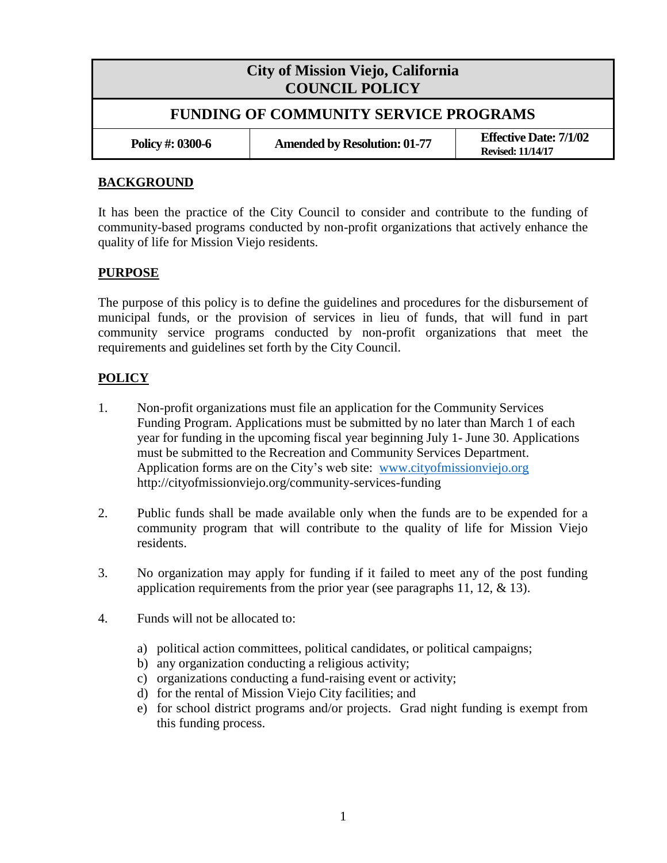## **City of Mission Viejo, California COUNCIL POLICY FUNDING OF COMMUNITY SERVICE PROGRAMS Policy #: 0300-6 Amended by Resolution: 01-77 Effective Date: 7/1/02 Revised: 11/14/17**

## **BACKGROUND**

It has been the practice of the City Council to consider and contribute to the funding of community-based programs conducted by non-profit organizations that actively enhance the quality of life for Mission Viejo residents.

## **PURPOSE**

The purpose of this policy is to define the guidelines and procedures for the disbursement of municipal funds, or the provision of services in lieu of funds, that will fund in part community service programs conducted by non-profit organizations that meet the requirements and guidelines set forth by the City Council.

## **POLICY**

- 1. Non-profit organizations must file an application for the Community Services Funding Program. Applications must be submitted by no later than March 1 of each year for funding in the upcoming fiscal year beginning July 1- June 30. Applications must be submitted to the Recreation and Community Services Department. Application forms are on the City's web site: [www.cityofmissionviejo.org](http://www.cityofmissionviejo.org/) http://cityofmissionviejo.org/community-services-funding
- 2. Public funds shall be made available only when the funds are to be expended for a community program that will contribute to the quality of life for Mission Viejo residents.
- 3. No organization may apply for funding if it failed to meet any of the post funding application requirements from the prior year (see paragraphs 11, 12,  $\&$  13).
- 4. Funds will not be allocated to:
	- a) political action committees, political candidates, or political campaigns;
	- b) any organization conducting a religious activity;
	- c) organizations conducting a fund-raising event or activity;
	- d) for the rental of Mission Viejo City facilities; and
	- e) for school district programs and/or projects. Grad night funding is exempt from this funding process.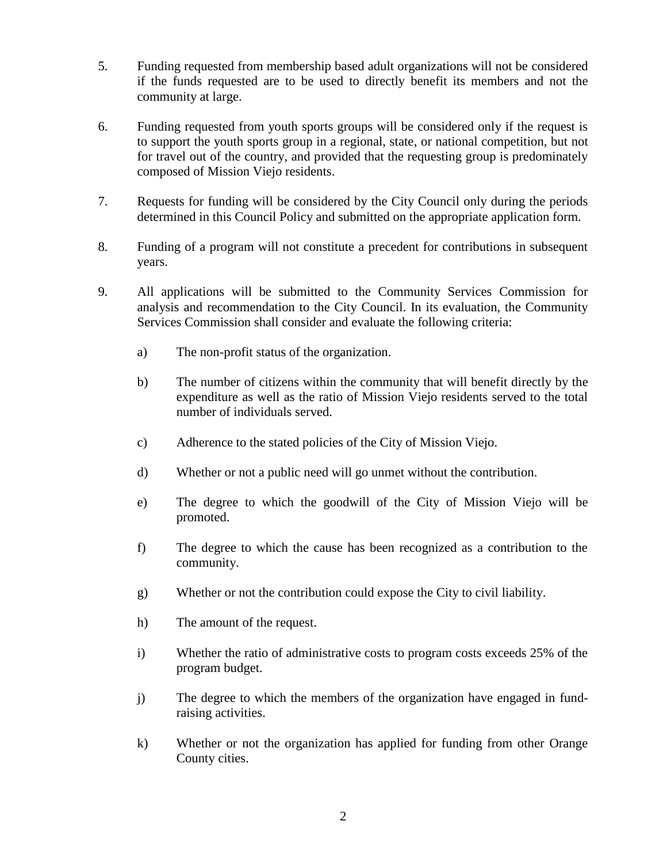- 5. Funding requested from membership based adult organizations will not be considered if the funds requested are to be used to directly benefit its members and not the community at large.
- 6. Funding requested from youth sports groups will be considered only if the request is to support the youth sports group in a regional, state, or national competition, but not for travel out of the country, and provided that the requesting group is predominately composed of Mission Viejo residents.
- 7. Requests for funding will be considered by the City Council only during the periods determined in this Council Policy and submitted on the appropriate application form.
- 8. Funding of a program will not constitute a precedent for contributions in subsequent years.
- 9. All applications will be submitted to the Community Services Commission for analysis and recommendation to the City Council. In its evaluation, the Community Services Commission shall consider and evaluate the following criteria:
	- a) The non-profit status of the organization.
	- b) The number of citizens within the community that will benefit directly by the expenditure as well as the ratio of Mission Viejo residents served to the total number of individuals served.
	- c) Adherence to the stated policies of the City of Mission Viejo.
	- d) Whether or not a public need will go unmet without the contribution.
	- e) The degree to which the goodwill of the City of Mission Viejo will be promoted.
	- f) The degree to which the cause has been recognized as a contribution to the community.
	- g) Whether or not the contribution could expose the City to civil liability.
	- h) The amount of the request.
	- i) Whether the ratio of administrative costs to program costs exceeds 25% of the program budget.
	- j) The degree to which the members of the organization have engaged in fundraising activities.
	- k) Whether or not the organization has applied for funding from other Orange County cities.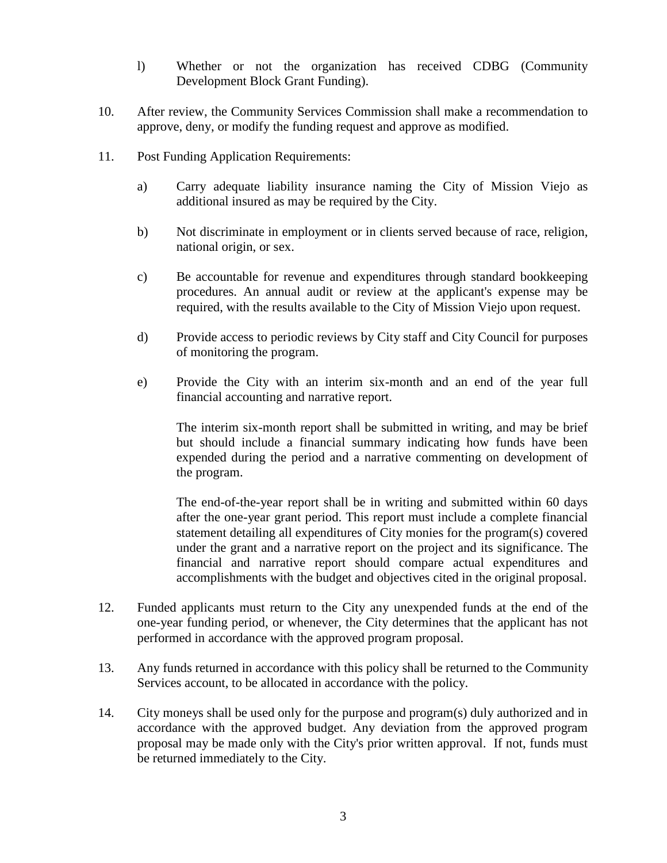- l) Whether or not the organization has received CDBG (Community Development Block Grant Funding).
- 10. After review, the Community Services Commission shall make a recommendation to approve, deny, or modify the funding request and approve as modified.
- 11. Post Funding Application Requirements:
	- a) Carry adequate liability insurance naming the City of Mission Viejo as additional insured as may be required by the City.
	- b) Not discriminate in employment or in clients served because of race, religion, national origin, or sex.
	- c) Be accountable for revenue and expenditures through standard bookkeeping procedures. An annual audit or review at the applicant's expense may be required, with the results available to the City of Mission Viejo upon request.
	- d) Provide access to periodic reviews by City staff and City Council for purposes of monitoring the program.
	- e) Provide the City with an interim six-month and an end of the year full financial accounting and narrative report.

The interim six-month report shall be submitted in writing, and may be brief but should include a financial summary indicating how funds have been expended during the period and a narrative commenting on development of the program.

The end-of-the-year report shall be in writing and submitted within 60 days after the one-year grant period. This report must include a complete financial statement detailing all expenditures of City monies for the program(s) covered under the grant and a narrative report on the project and its significance. The financial and narrative report should compare actual expenditures and accomplishments with the budget and objectives cited in the original proposal.

- 12. Funded applicants must return to the City any unexpended funds at the end of the one-year funding period, or whenever, the City determines that the applicant has not performed in accordance with the approved program proposal.
- 13. Any funds returned in accordance with this policy shall be returned to the Community Services account, to be allocated in accordance with the policy.
- 14. City moneys shall be used only for the purpose and program(s) duly authorized and in accordance with the approved budget. Any deviation from the approved program proposal may be made only with the City's prior written approval. If not, funds must be returned immediately to the City.